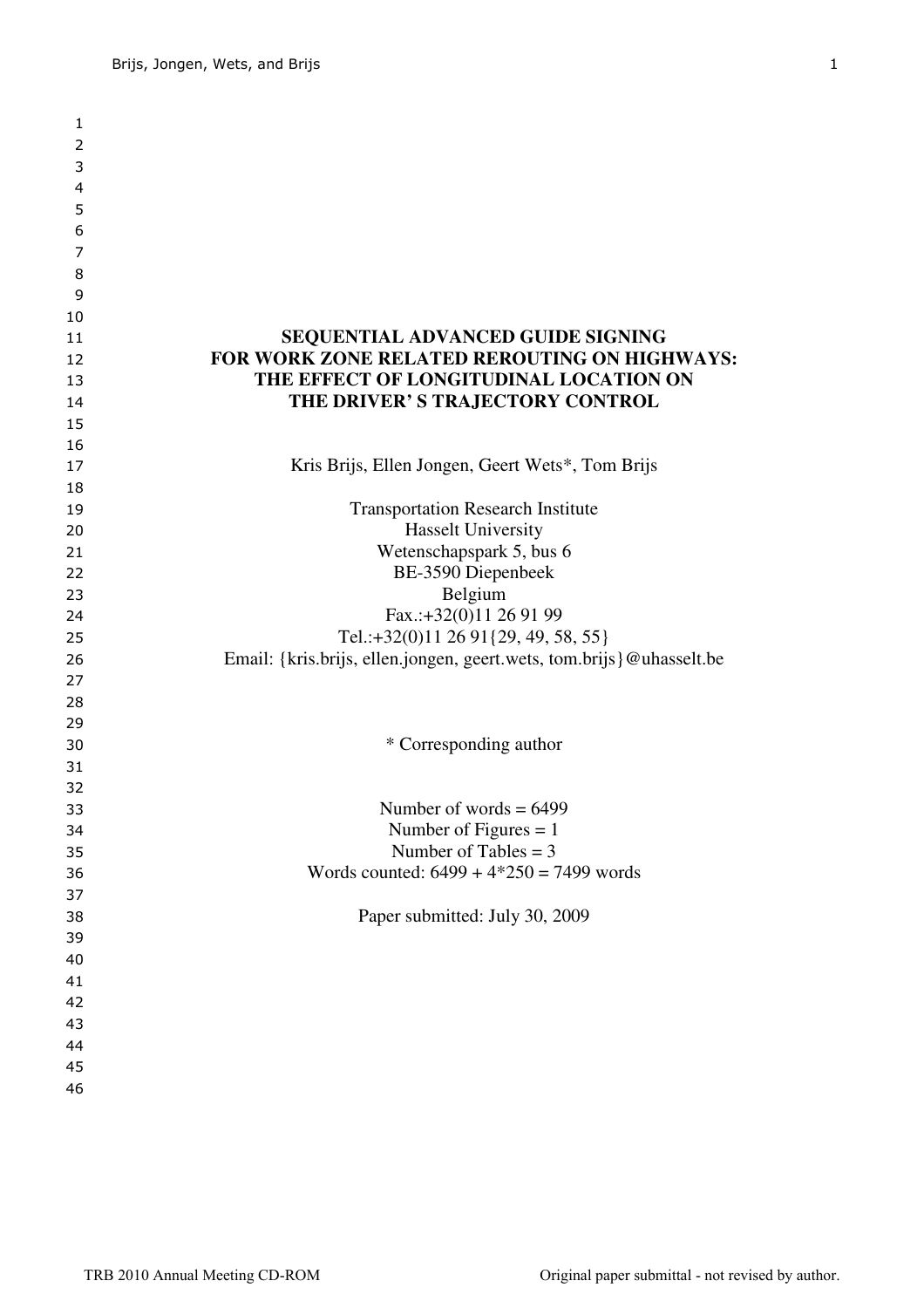| 2              |                                                                       |
|----------------|-----------------------------------------------------------------------|
| 3              |                                                                       |
| 4              |                                                                       |
| 5              |                                                                       |
| 6              |                                                                       |
| $\overline{7}$ |                                                                       |
| 8              |                                                                       |
| 9              |                                                                       |
| 10             |                                                                       |
| 11             | SEQUENTIAL ADVANCED GUIDE SIGNING                                     |
| 12             | FOR WORK ZONE RELATED REROUTING ON HIGHWAYS:                          |
| 13             | THE EFFECT OF LONGITUDINAL LOCATION ON                                |
| 14             | THE DRIVER'S TRAJECTORY CONTROL                                       |
| 15             |                                                                       |
| 16             |                                                                       |
| 17             | Kris Brijs, Ellen Jongen, Geert Wets*, Tom Brijs                      |
| 18             |                                                                       |
| 19             | <b>Transportation Research Institute</b>                              |
| 20             | <b>Hasselt University</b>                                             |
| 21             | Wetenschapspark 5, bus 6                                              |
| 22             | BE-3590 Diepenbeek                                                    |
| 23             | Belgium                                                               |
| 24             | Fax.:+32(0)11 26 91 99                                                |
| 25             | Tel.:+32(0)11 26 91{29, 49, 58, 55}                                   |
| 26             | Email: {kris.brijs, ellen.jongen, geert.wets, tom.brijs} @uhasselt.be |
| 27             |                                                                       |
| 28             |                                                                       |
| 29             |                                                                       |
| 30             | * Corresponding author                                                |
| 31             |                                                                       |
| 32             |                                                                       |
| 33             | Number of words $= 6499$                                              |
| 34             | Number of Figures $= 1$                                               |
| 35             | Number of Tables $=$ 3                                                |
| 36             | Words counted: $6499 + 4*250 = 7499$ words                            |
| 37             |                                                                       |
| 38             | Paper submitted: July 30, 2009                                        |
| 39             |                                                                       |
| 40             |                                                                       |
| 41             |                                                                       |
| 42             |                                                                       |
| 43             |                                                                       |
| 44             |                                                                       |
| 45             |                                                                       |
| 46             |                                                                       |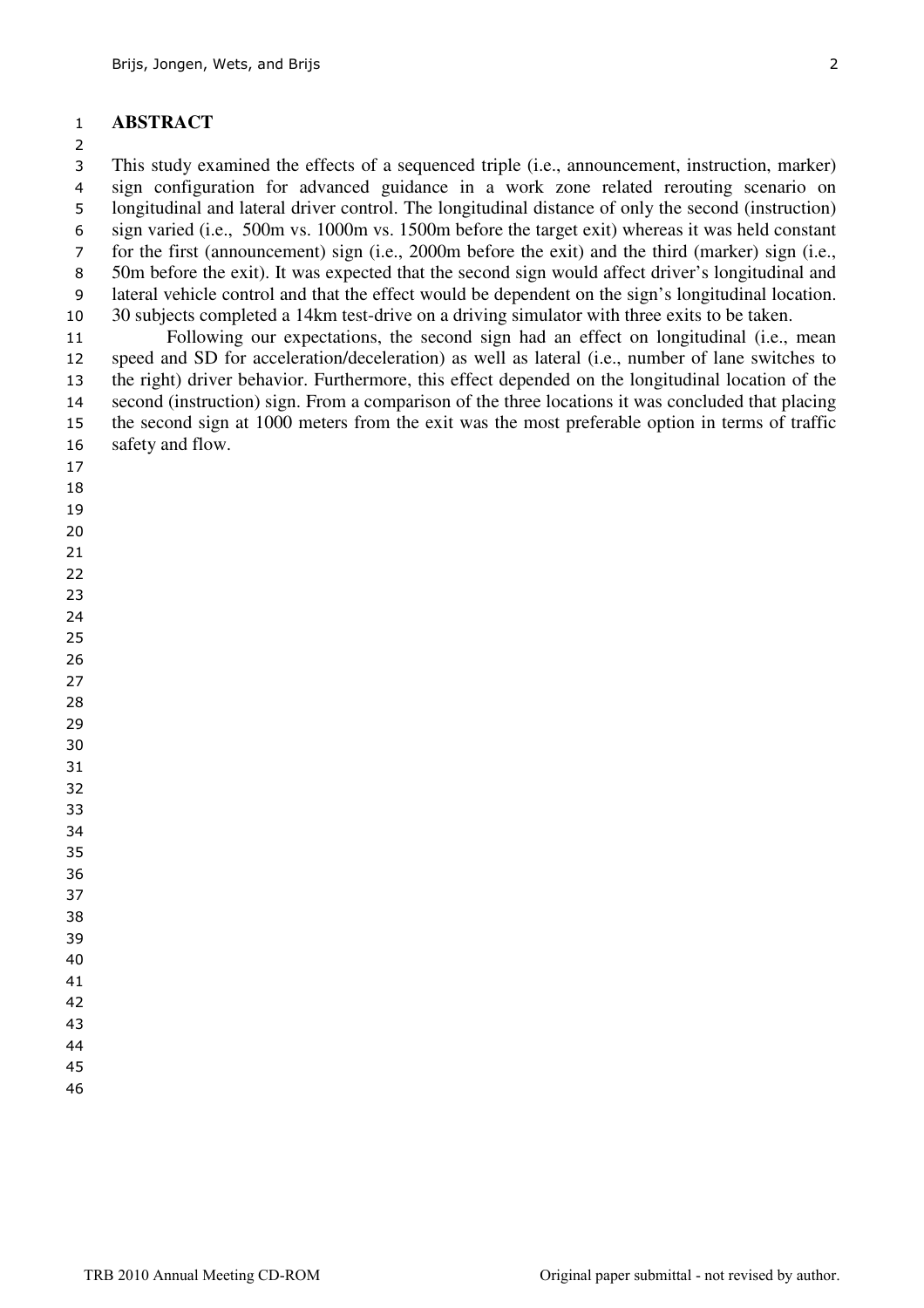**ABSTRACT** 

This study examined the effects of a sequenced triple (i.e., announcement, instruction, marker) sign configuration for advanced guidance in a work zone related rerouting scenario on longitudinal and lateral driver control. The longitudinal distance of only the second (instruction) sign varied (i.e., 500m vs. 1000m vs. 1500m before the target exit) whereas it was held constant for the first (announcement) sign (i.e., 2000m before the exit) and the third (marker) sign (i.e., 50m before the exit). It was expected that the second sign would affect driver's longitudinal and lateral vehicle control and that the effect would be dependent on the sign's longitudinal location. 30 subjects completed a 14km test-drive on a driving simulator with three exits to be taken.

Following our expectations, the second sign had an effect on longitudinal (i.e., mean speed and SD for acceleration/deceleration) as well as lateral (i.e., number of lane switches to the right) driver behavior. Furthermore, this effect depended on the longitudinal location of the second (instruction) sign. From a comparison of the three locations it was concluded that placing the second sign at 1000 meters from the exit was the most preferable option in terms of traffic safety and flow.

- 
- 
- 
- 
- 
- 
- 
- 
- 

- 
- 
- 
- 
- 
- 
- 
- 
- 
- 
- 
- 
- 
- 
-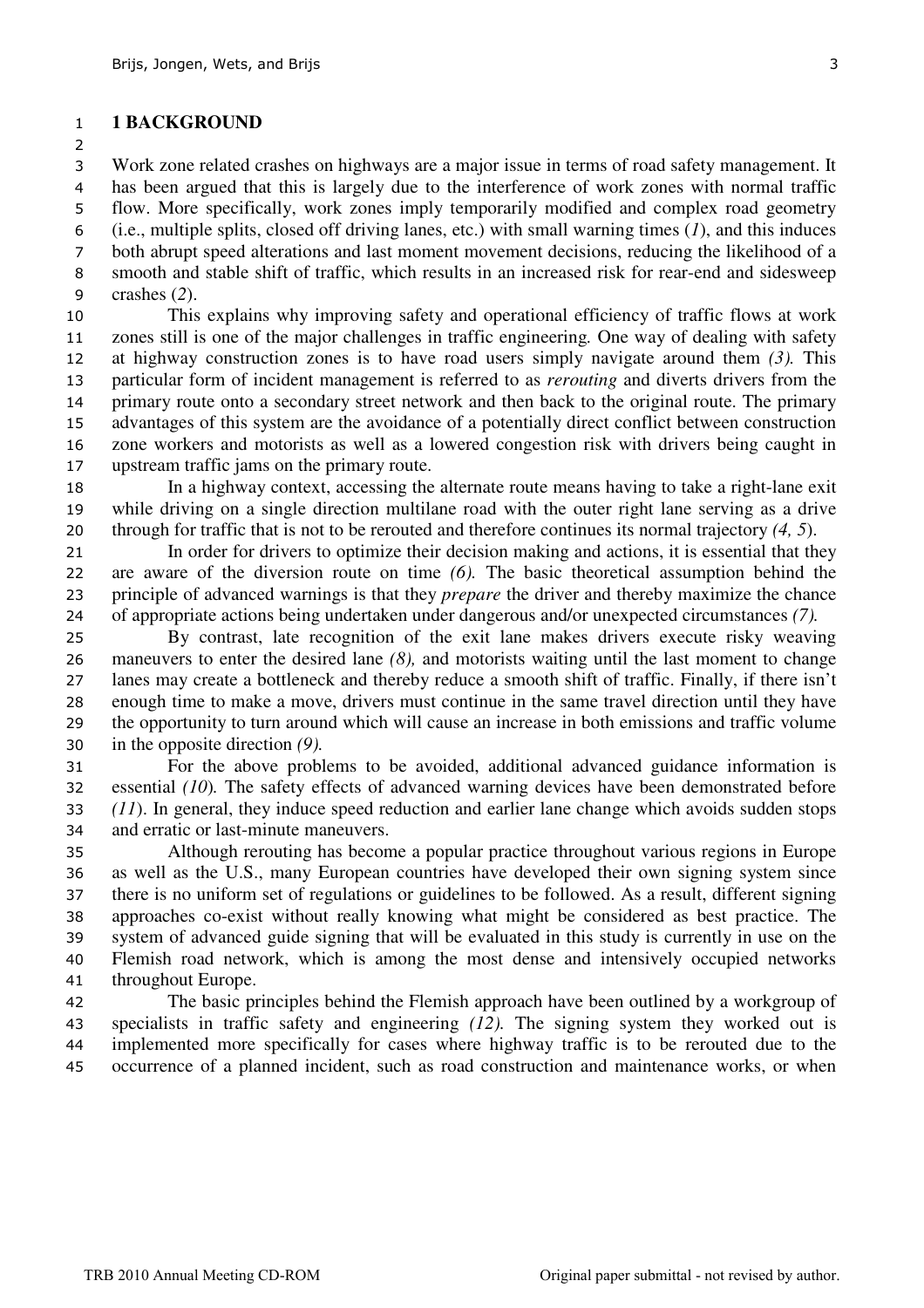#### **1 BACKGROUND**

Work zone related crashes on highways are a major issue in terms of road safety management. It has been argued that this is largely due to the interference of work zones with normal traffic flow. More specifically, work zones imply temporarily modified and complex road geometry (i.e., multiple splits, closed off driving lanes, etc.) with small warning times (*1*), and this induces both abrupt speed alterations and last moment movement decisions, reducing the likelihood of a smooth and stable shift of traffic, which results in an increased risk for rear-end and sidesweep crashes (*2*).

This explains why improving safety and operational efficiency of traffic flows at work zones still is one of the major challenges in traffic engineering*.* One way of dealing with safety at highway construction zones is to have road users simply navigate around them *(3).* This particular form of incident management is referred to as *rerouting* and diverts drivers from the primary route onto a secondary street network and then back to the original route. The primary advantages of this system are the avoidance of a potentially direct conflict between construction zone workers and motorists as well as a lowered congestion risk with drivers being caught in upstream traffic jams on the primary route.

In a highway context, accessing the alternate route means having to take a right-lane exit while driving on a single direction multilane road with the outer right lane serving as a drive through for traffic that is not to be rerouted and therefore continues its normal trajectory *(4, 5*).

In order for drivers to optimize their decision making and actions, it is essential that they are aware of the diversion route on time *(6).* The basic theoretical assumption behind the principle of advanced warnings is that they *prepare* the driver and thereby maximize the chance of appropriate actions being undertaken under dangerous and/or unexpected circumstances *(7).*

By contrast, late recognition of the exit lane makes drivers execute risky weaving maneuvers to enter the desired lane *(8),* and motorists waiting until the last moment to change lanes may create a bottleneck and thereby reduce a smooth shift of traffic. Finally, if there isn't enough time to make a move, drivers must continue in the same travel direction until they have the opportunity to turn around which will cause an increase in both emissions and traffic volume in the opposite direction *(9).*

For the above problems to be avoided, additional advanced guidance information is essential *(10*)*.* The safety effects of advanced warning devices have been demonstrated before *(11*). In general, they induce speed reduction and earlier lane change which avoids sudden stops and erratic or last-minute maneuvers.

Although rerouting has become a popular practice throughout various regions in Europe as well as the U.S., many European countries have developed their own signing system since there is no uniform set of regulations or guidelines to be followed. As a result, different signing approaches co-exist without really knowing what might be considered as best practice. The system of advanced guide signing that will be evaluated in this study is currently in use on the Flemish road network, which is among the most dense and intensively occupied networks throughout Europe.

The basic principles behind the Flemish approach have been outlined by a workgroup of specialists in traffic safety and engineering *(12).* The signing system they worked out is implemented more specifically for cases where highway traffic is to be rerouted due to the occurrence of a planned incident, such as road construction and maintenance works, or when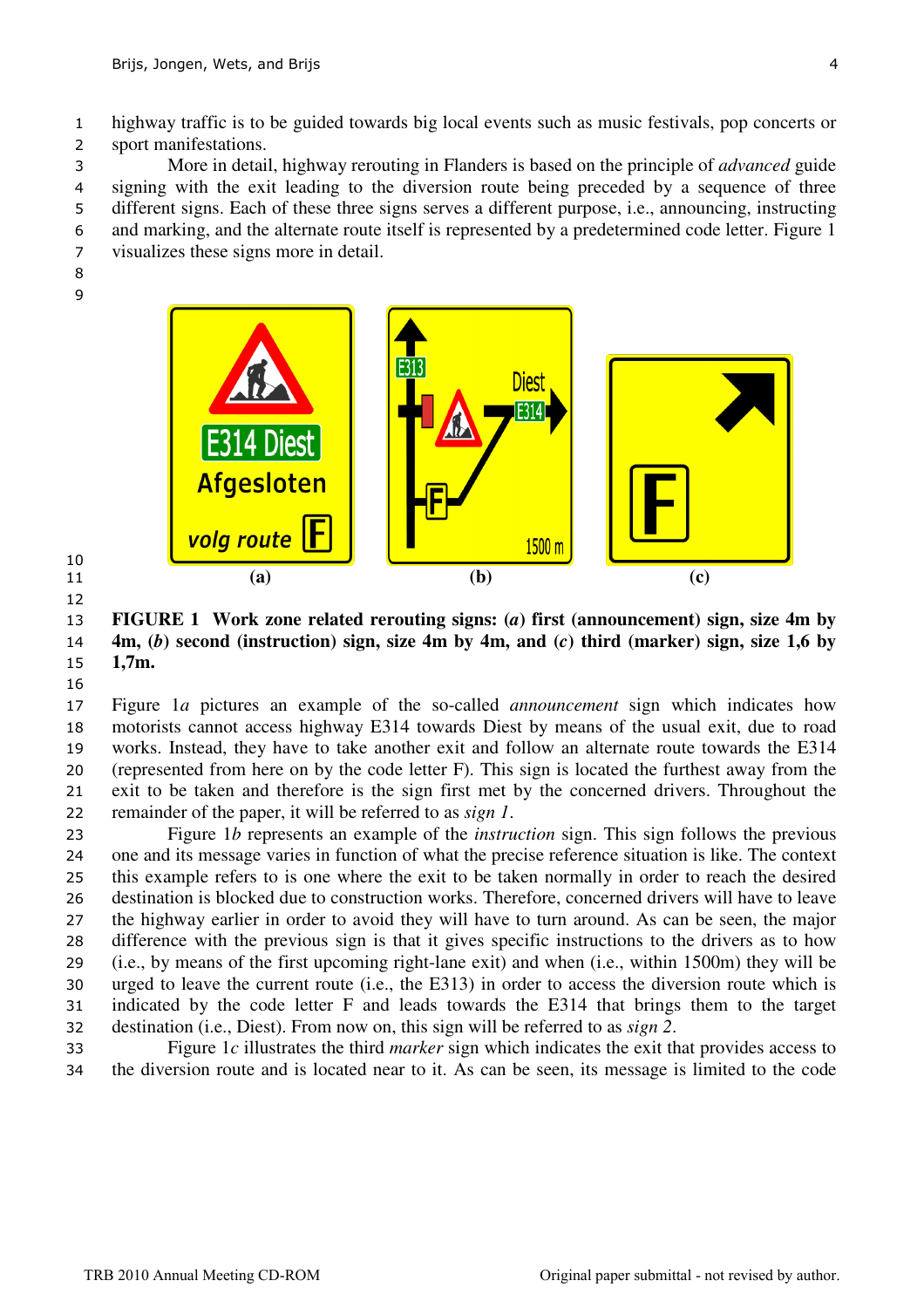highway traffic is to be guided towards big local events such as music festivals, pop concerts or sport manifestations.

More in detail, highway rerouting in Flanders is based on the principle of *advanced* guide signing with the exit leading to the diversion route being preceded by a sequence of three different signs. Each of these three signs serves a different purpose, i.e., announcing, instructing and marking, and the alternate route itself is represented by a predetermined code letter. Figure 1 visualizes these signs more in detail.

- 
- 



 

**FIGURE 1 Work zone related rerouting signs: (***a***) first (announcement) sign, size 4m by 4m, (***b***) second (instruction) sign, size 4m by 4m, and (***c***) third (marker) sign, size 1,6 by 1,7m.** 

Figure 1*a* pictures an example of the so-called *announcement* sign which indicates how motorists cannot access highway E314 towards Diest by means of the usual exit, due to road works. Instead, they have to take another exit and follow an alternate route towards the E314 (represented from here on by the code letter F). This sign is located the furthest away from the exit to be taken and therefore is the sign first met by the concerned drivers. Throughout the remainder of the paper, it will be referred to as *sign 1*.

Figure 1*b* represents an example of the *instruction* sign. This sign follows the previous one and its message varies in function of what the precise reference situation is like. The context this example refers to is one where the exit to be taken normally in order to reach the desired destination is blocked due to construction works. Therefore, concerned drivers will have to leave the highway earlier in order to avoid they will have to turn around. As can be seen, the major difference with the previous sign is that it gives specific instructions to the drivers as to how (i.e., by means of the first upcoming right-lane exit) and when (i.e., within 1500m) they will be urged to leave the current route (i.e., the E313) in order to access the diversion route which is indicated by the code letter F and leads towards the E314 that brings them to the target destination (i.e., Diest). From now on, this sign will be referred to as *sign 2*.

Figure 1*c* illustrates the third *marker* sign which indicates the exit that provides access to the diversion route and is located near to it. As can be seen, its message is limited to the code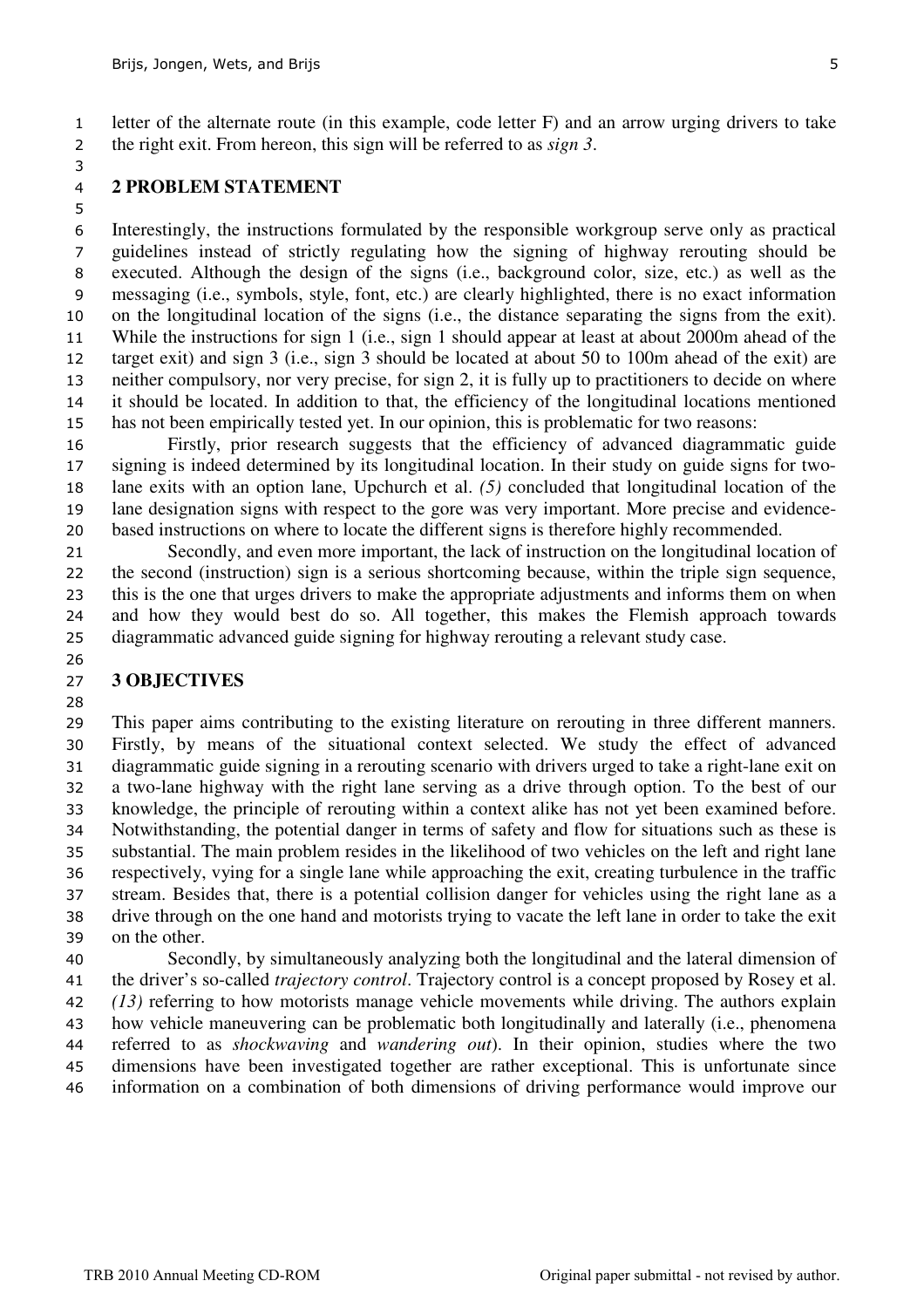letter of the alternate route (in this example, code letter F) and an arrow urging drivers to take the right exit. From hereon, this sign will be referred to as *sign 3*.

### **2 PROBLEM STATEMENT**

Interestingly, the instructions formulated by the responsible workgroup serve only as practical guidelines instead of strictly regulating how the signing of highway rerouting should be executed. Although the design of the signs (i.e., background color, size, etc.) as well as the messaging (i.e., symbols, style, font, etc.) are clearly highlighted, there is no exact information on the longitudinal location of the signs (i.e., the distance separating the signs from the exit). While the instructions for sign 1 (i.e., sign 1 should appear at least at about 2000m ahead of the target exit) and sign 3 (i.e., sign 3 should be located at about 50 to 100m ahead of the exit) are neither compulsory, nor very precise, for sign 2, it is fully up to practitioners to decide on where it should be located. In addition to that, the efficiency of the longitudinal locations mentioned has not been empirically tested yet. In our opinion, this is problematic for two reasons:

Firstly, prior research suggests that the efficiency of advanced diagrammatic guide signing is indeed determined by its longitudinal location. In their study on guide signs for two-lane exits with an option lane, Upchurch et al. *(5)* concluded that longitudinal location of the lane designation signs with respect to the gore was very important. More precise and evidence-based instructions on where to locate the different signs is therefore highly recommended.

Secondly, and even more important, the lack of instruction on the longitudinal location of the second (instruction) sign is a serious shortcoming because, within the triple sign sequence, this is the one that urges drivers to make the appropriate adjustments and informs them on when and how they would best do so. All together, this makes the Flemish approach towards diagrammatic advanced guide signing for highway rerouting a relevant study case.

#### **3 OBJECTIVES**

This paper aims contributing to the existing literature on rerouting in three different manners. Firstly, by means of the situational context selected. We study the effect of advanced diagrammatic guide signing in a rerouting scenario with drivers urged to take a right-lane exit on a two-lane highway with the right lane serving as a drive through option. To the best of our knowledge, the principle of rerouting within a context alike has not yet been examined before. Notwithstanding, the potential danger in terms of safety and flow for situations such as these is substantial. The main problem resides in the likelihood of two vehicles on the left and right lane respectively, vying for a single lane while approaching the exit, creating turbulence in the traffic stream. Besides that, there is a potential collision danger for vehicles using the right lane as a drive through on the one hand and motorists trying to vacate the left lane in order to take the exit on the other.

Secondly, by simultaneously analyzing both the longitudinal and the lateral dimension of the driver's so-called *trajectory control*. Trajectory control is a concept proposed by Rosey et al. *(13)* referring to how motorists manage vehicle movements while driving. The authors explain how vehicle maneuvering can be problematic both longitudinally and laterally (i.e., phenomena referred to as *shockwaving* and *wandering out*). In their opinion, studies where the two dimensions have been investigated together are rather exceptional. This is unfortunate since information on a combination of both dimensions of driving performance would improve our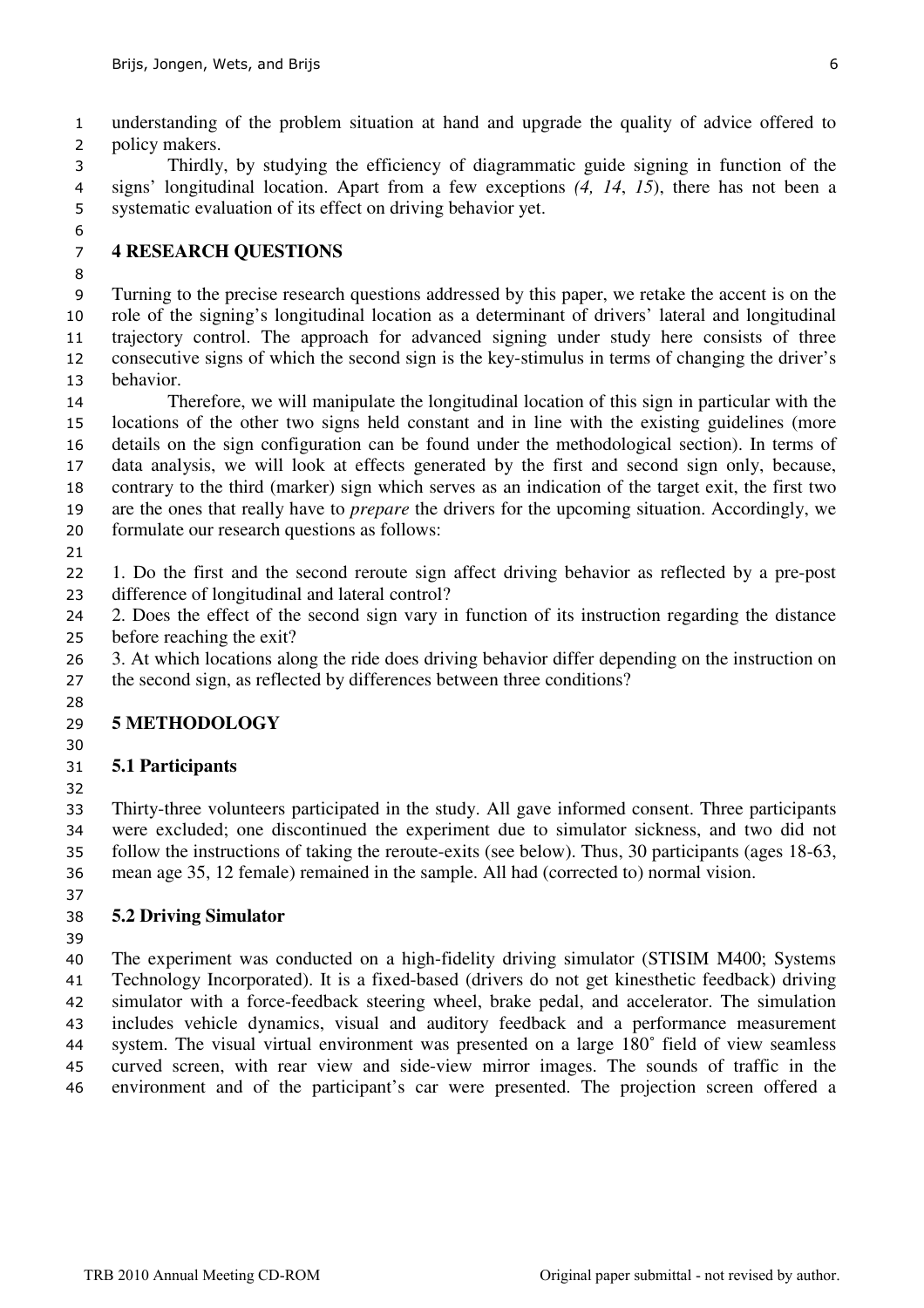understanding of the problem situation at hand and upgrade the quality of advice offered to policy makers.

Thirdly, by studying the efficiency of diagrammatic guide signing in function of the signs' longitudinal location. Apart from a few exceptions *(4, 14*, *15*), there has not been a systematic evaluation of its effect on driving behavior yet.

## **4 RESEARCH QUESTIONS**

Turning to the precise research questions addressed by this paper, we retake the accent is on the role of the signing's longitudinal location as a determinant of drivers' lateral and longitudinal trajectory control. The approach for advanced signing under study here consists of three consecutive signs of which the second sign is the key-stimulus in terms of changing the driver's behavior.

Therefore, we will manipulate the longitudinal location of this sign in particular with the locations of the other two signs held constant and in line with the existing guidelines (more details on the sign configuration can be found under the methodological section). In terms of data analysis, we will look at effects generated by the first and second sign only, because, contrary to the third (marker) sign which serves as an indication of the target exit, the first two are the ones that really have to *prepare* the drivers for the upcoming situation. Accordingly, we formulate our research questions as follows:

1. Do the first and the second reroute sign affect driving behavior as reflected by a pre-post difference of longitudinal and lateral control?

2. Does the effect of the second sign vary in function of its instruction regarding the distance before reaching the exit?

26 3. At which locations along the ride does driving behavior differ depending on the instruction on the second sign, as reflected by differences between three conditions?

# **5 METHODOLOGY**

# **5.1 Participants**

Thirty-three volunteers participated in the study. All gave informed consent. Three participants were excluded; one discontinued the experiment due to simulator sickness, and two did not follow the instructions of taking the reroute-exits (see below). Thus, 30 participants (ages 18-63, mean age 35, 12 female) remained in the sample. All had (corrected to) normal vision.

# **5.2 Driving Simulator**

The experiment was conducted on a high-fidelity driving simulator (STISIM M400; Systems Technology Incorporated). It is a fixed-based (drivers do not get kinesthetic feedback) driving simulator with a force-feedback steering wheel, brake pedal, and accelerator. The simulation includes vehicle dynamics, visual and auditory feedback and a performance measurement system. The visual virtual environment was presented on a large 180˚ field of view seamless curved screen, with rear view and side-view mirror images. The sounds of traffic in the environment and of the participant's car were presented. The projection screen offered a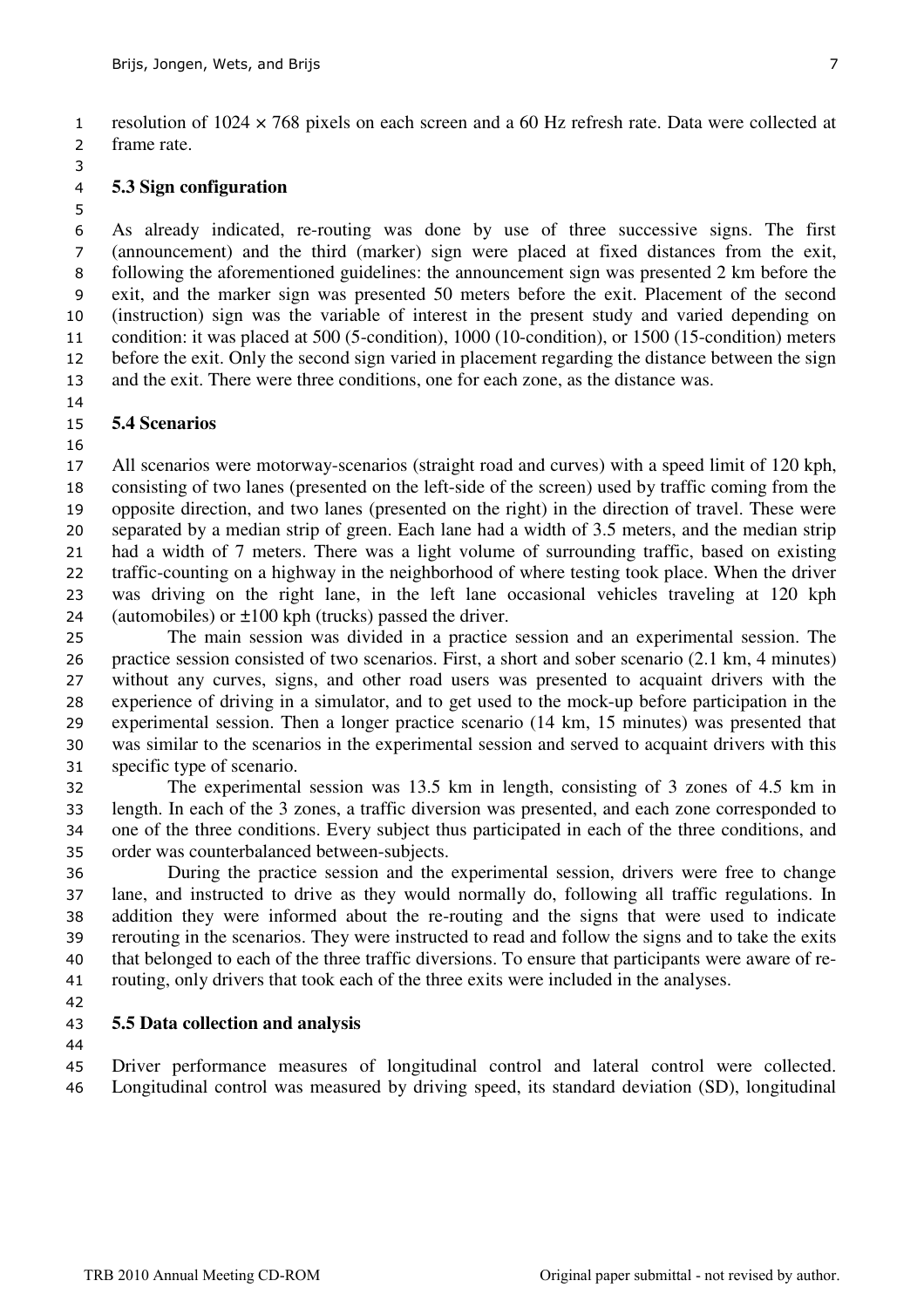resolution of 1024 × 768 pixels on each screen and a 60 Hz refresh rate. Data were collected at frame rate.

#### **5.3 Sign configuration**

As already indicated, re-routing was done by use of three successive signs. The first (announcement) and the third (marker) sign were placed at fixed distances from the exit, following the aforementioned guidelines: the announcement sign was presented 2 km before the exit, and the marker sign was presented 50 meters before the exit. Placement of the second (instruction) sign was the variable of interest in the present study and varied depending on condition: it was placed at 500 (5-condition), 1000 (10-condition), or 1500 (15-condition) meters before the exit. Only the second sign varied in placement regarding the distance between the sign and the exit. There were three conditions, one for each zone, as the distance was.

#### **5.4 Scenarios**

All scenarios were motorway-scenarios (straight road and curves) with a speed limit of 120 kph, consisting of two lanes (presented on the left-side of the screen) used by traffic coming from the opposite direction, and two lanes (presented on the right) in the direction of travel. These were separated by a median strip of green. Each lane had a width of 3.5 meters, and the median strip had a width of 7 meters. There was a light volume of surrounding traffic, based on existing traffic-counting on a highway in the neighborhood of where testing took place. When the driver was driving on the right lane, in the left lane occasional vehicles traveling at 120 kph 24 (automobiles) or  $\pm 100$  kph (trucks) passed the driver.

The main session was divided in a practice session and an experimental session. The practice session consisted of two scenarios. First, a short and sober scenario (2.1 km, 4 minutes) without any curves, signs, and other road users was presented to acquaint drivers with the experience of driving in a simulator, and to get used to the mock-up before participation in the experimental session. Then a longer practice scenario (14 km, 15 minutes) was presented that was similar to the scenarios in the experimental session and served to acquaint drivers with this specific type of scenario.

The experimental session was 13.5 km in length, consisting of 3 zones of 4.5 km in length. In each of the 3 zones, a traffic diversion was presented, and each zone corresponded to one of the three conditions. Every subject thus participated in each of the three conditions, and order was counterbalanced between-subjects.

During the practice session and the experimental session, drivers were free to change lane, and instructed to drive as they would normally do, following all traffic regulations. In addition they were informed about the re-routing and the signs that were used to indicate rerouting in the scenarios. They were instructed to read and follow the signs and to take the exits that belonged to each of the three traffic diversions. To ensure that participants were aware of re-routing, only drivers that took each of the three exits were included in the analyses.

#### **5.5 Data collection and analysis**

Driver performance measures of longitudinal control and lateral control were collected. Longitudinal control was measured by driving speed, its standard deviation (SD), longitudinal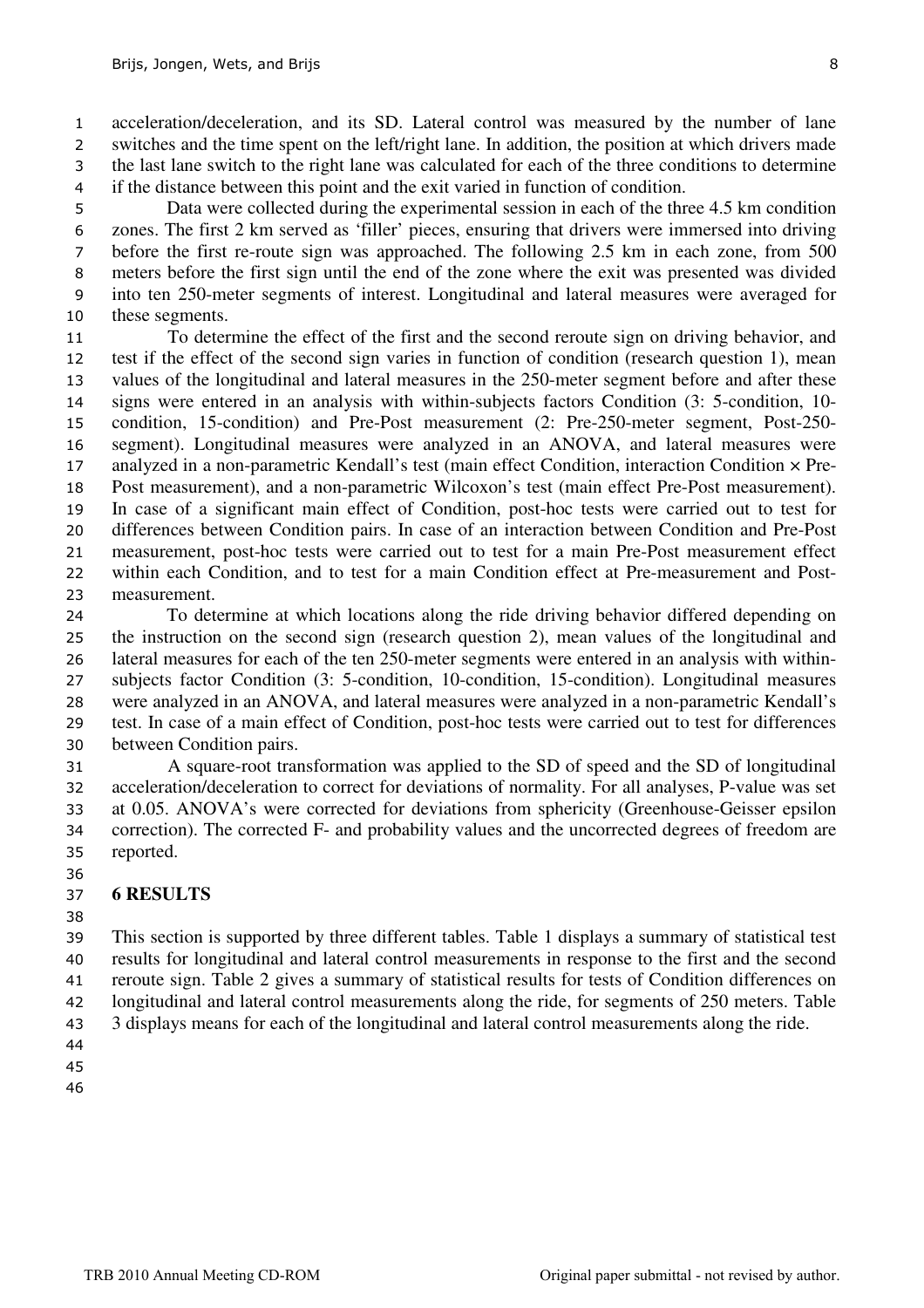acceleration/deceleration, and its SD. Lateral control was measured by the number of lane switches and the time spent on the left/right lane. In addition, the position at which drivers made the last lane switch to the right lane was calculated for each of the three conditions to determine if the distance between this point and the exit varied in function of condition.

Data were collected during the experimental session in each of the three 4.5 km condition zones. The first 2 km served as 'filler' pieces, ensuring that drivers were immersed into driving before the first re-route sign was approached. The following 2.5 km in each zone, from 500 meters before the first sign until the end of the zone where the exit was presented was divided into ten 250-meter segments of interest. Longitudinal and lateral measures were averaged for these segments.

To determine the effect of the first and the second reroute sign on driving behavior, and test if the effect of the second sign varies in function of condition (research question 1), mean values of the longitudinal and lateral measures in the 250-meter segment before and after these signs were entered in an analysis with within-subjects factors Condition (3: 5-condition, 10- condition, 15-condition) and Pre-Post measurement (2: Pre-250-meter segment, Post-250- segment). Longitudinal measures were analyzed in an ANOVA, and lateral measures were analyzed in a non-parametric Kendall's test (main effect Condition, interaction Condition × Pre-Post measurement), and a non-parametric Wilcoxon's test (main effect Pre-Post measurement). In case of a significant main effect of Condition, post-hoc tests were carried out to test for differences between Condition pairs. In case of an interaction between Condition and Pre-Post measurement, post-hoc tests were carried out to test for a main Pre-Post measurement effect within each Condition, and to test for a main Condition effect at Pre-measurement and Post-measurement.

To determine at which locations along the ride driving behavior differed depending on the instruction on the second sign (research question 2), mean values of the longitudinal and lateral measures for each of the ten 250-meter segments were entered in an analysis with within-subjects factor Condition (3: 5-condition, 10-condition, 15-condition). Longitudinal measures were analyzed in an ANOVA, and lateral measures were analyzed in a non-parametric Kendall's test. In case of a main effect of Condition, post-hoc tests were carried out to test for differences between Condition pairs.

A square-root transformation was applied to the SD of speed and the SD of longitudinal acceleration/deceleration to correct for deviations of normality. For all analyses, P-value was set at 0.05. ANOVA's were corrected for deviations from sphericity (Greenhouse-Geisser epsilon correction). The corrected F- and probability values and the uncorrected degrees of freedom are reported.

### **6 RESULTS**

This section is supported by three different tables. Table 1 displays a summary of statistical test results for longitudinal and lateral control measurements in response to the first and the second reroute sign. Table 2 gives a summary of statistical results for tests of Condition differences on longitudinal and lateral control measurements along the ride, for segments of 250 meters. Table 3 displays means for each of the longitudinal and lateral control measurements along the ride.

- 
- 
-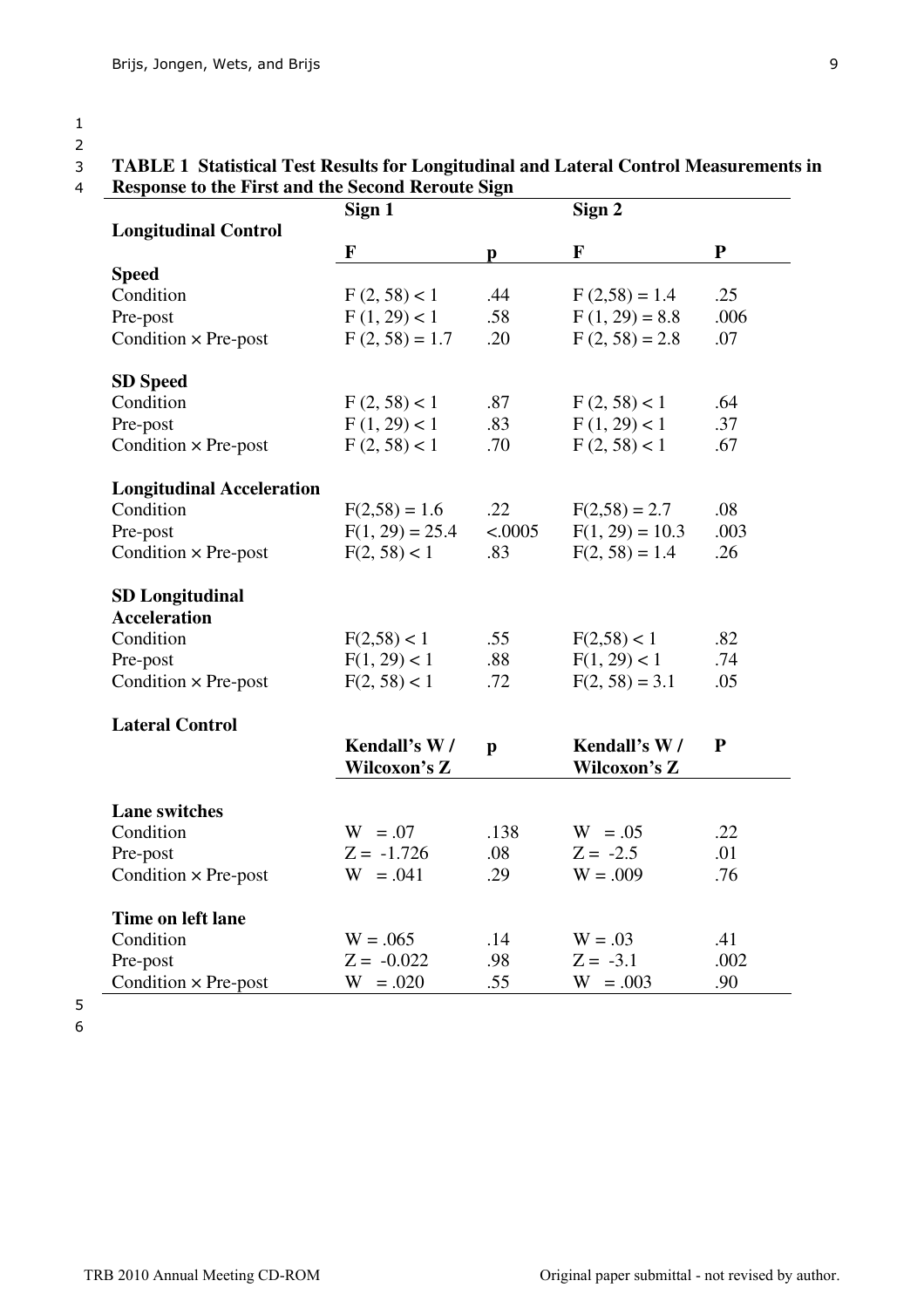## 3 **TABLE 1 Statistical Test Results for Longitudinal and Lateral Control Measurements in**  4 **Response to the First and the Second Reroute Sign**

|                                  | Sign 1            |              | Sign 2            |           |  |  |  |
|----------------------------------|-------------------|--------------|-------------------|-----------|--|--|--|
| <b>Longitudinal Control</b>      |                   |              |                   |           |  |  |  |
|                                  | F                 | $\mathbf{p}$ | F                 | ${\bf P}$ |  |  |  |
| <b>Speed</b>                     |                   |              |                   |           |  |  |  |
| Condition                        | F(2, 58) < 1      | .44          | $F(2,58) = 1.4$   | .25       |  |  |  |
| Pre-post                         | F(1, 29) < 1      | .58          | $F(1, 29) = 8.8$  | .006      |  |  |  |
| Condition $\times$ Pre-post      | $F(2, 58) = 1.7$  | .20          | $F(2, 58) = 2.8$  | .07       |  |  |  |
|                                  |                   |              |                   |           |  |  |  |
| <b>SD</b> Speed                  |                   |              |                   |           |  |  |  |
| Condition                        | F(2, 58) < 1      | .87          | F(2, 58) < 1      | .64       |  |  |  |
| Pre-post                         | F(1, 29) < 1      | .83          | F(1, 29) < 1      | .37       |  |  |  |
| Condition $\times$ Pre-post      | F(2, 58) < 1      | .70          | F(2, 58) < 1      | .67       |  |  |  |
| <b>Longitudinal Acceleration</b> |                   |              |                   |           |  |  |  |
| Condition                        | $F(2,58) = 1.6$   | .22          | $F(2,58) = 2.7$   | .08       |  |  |  |
| Pre-post                         | $F(1, 29) = 25.4$ | < .0005      | $F(1, 29) = 10.3$ | .003      |  |  |  |
| Condition $\times$ Pre-post      | F(2, 58) < 1      | .83          | $F(2, 58) = 1.4$  | .26       |  |  |  |
|                                  |                   |              |                   |           |  |  |  |
| <b>SD Longitudinal</b>           |                   |              |                   |           |  |  |  |
| <b>Acceleration</b>              |                   |              |                   |           |  |  |  |
| Condition                        | F(2,58) < 1       | .55          | F(2,58) < 1       | .82       |  |  |  |
| Pre-post                         | F(1, 29) < 1      | .88          | F(1, 29) < 1      | .74       |  |  |  |
| Condition $\times$ Pre-post      | F(2, 58) < 1      | .72          | $F(2, 58) = 3.1$  | .05       |  |  |  |
|                                  |                   |              |                   |           |  |  |  |
| <b>Lateral Control</b>           |                   |              |                   |           |  |  |  |
|                                  | Kendall's W/      | $\mathbf{p}$ | Kendall's W/      | ${\bf P}$ |  |  |  |
|                                  | Wilcoxon's Z      |              | Wilcoxon's Z      |           |  |  |  |
| <b>Lane switches</b>             |                   |              |                   |           |  |  |  |
| Condition                        | $W = .07$         | .138         | $W = .05$         | .22       |  |  |  |
| Pre-post                         | $Z = -1.726$      | .08          | $Z = -2.5$        | .01       |  |  |  |
| Condition $\times$ Pre-post      | $W = .041$        | .29          | $W = .009$        | .76       |  |  |  |
|                                  |                   |              |                   |           |  |  |  |
| Time on left lane                |                   |              |                   |           |  |  |  |
| Condition                        | $W = .065$        | .14          | $W = .03$         | .41       |  |  |  |
| Pre-post                         | $Z = -0.022$      | .98          | $Z = -3.1$        | .002      |  |  |  |
| Condition $\times$ Pre-post      | $W = .020$        | .55          | $W = .003$        | .90       |  |  |  |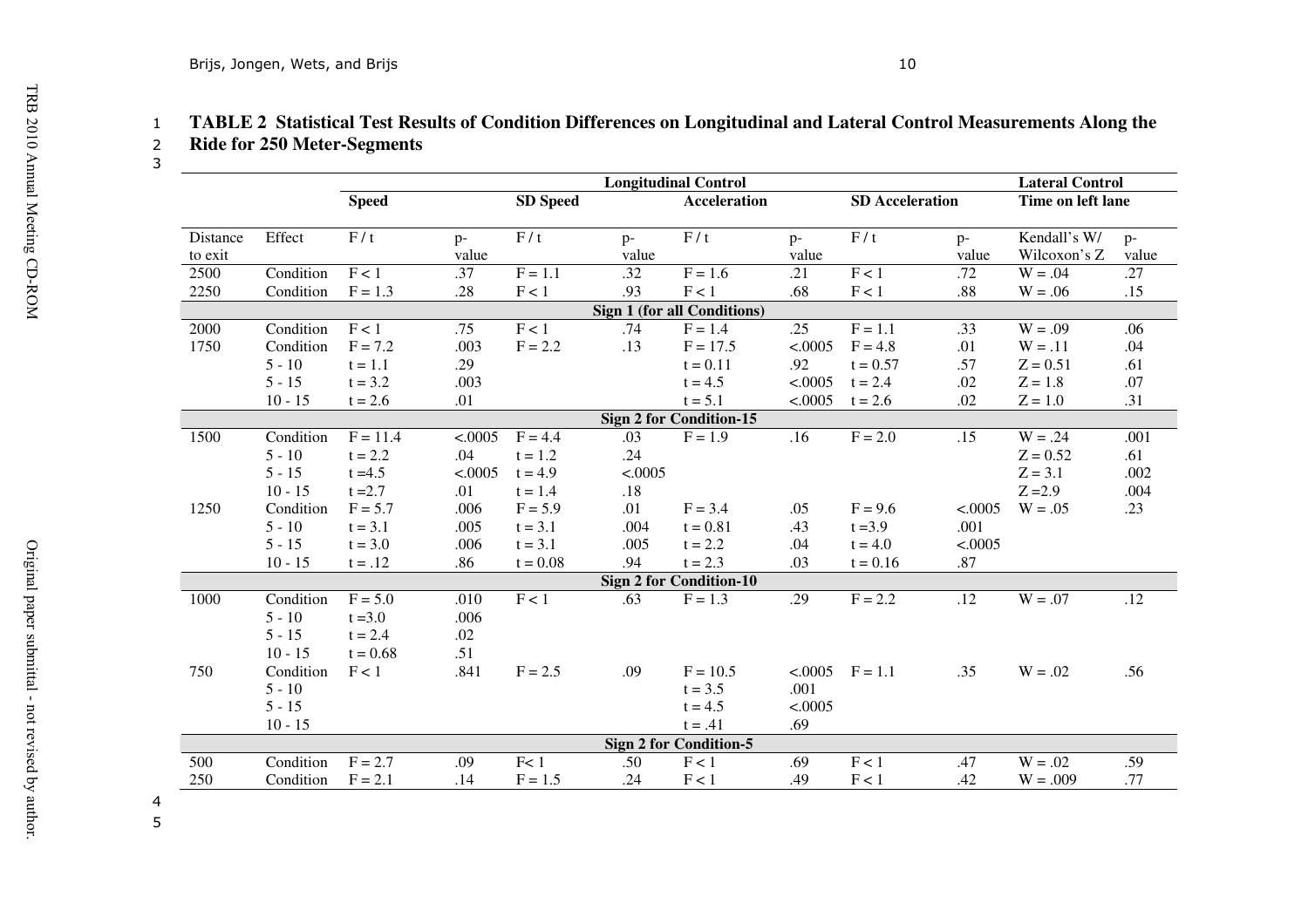|          |           |              | <b>Lateral Control</b> |                 |         |                                    |                   |                        |         |                   |       |
|----------|-----------|--------------|------------------------|-----------------|---------|------------------------------------|-------------------|------------------------|---------|-------------------|-------|
|          |           | <b>Speed</b> |                        | <b>SD</b> Speed |         | <b>Acceleration</b>                |                   | <b>SD</b> Acceleration |         | Time on left lane |       |
| Distance | Effect    | F/t          | $p-$                   | F/t             | $p-$    | $\overline{F}/t$                   | $p-$              | F/t                    | $p-$    | Kendall's W/      | $p-$  |
| to exit  |           |              | value                  |                 | value   |                                    | value             |                        | value   | Wilcoxon's Z      | value |
| 2500     | Condition | F < 1        | .37                    | $F = 1.1$       | .32     | $F = 1.6$                          | .21               | F < 1                  | .72     | $W = .04$         | .27   |
| 2250     | Condition | $F = 1.3$    | .28                    | F < 1           | .93     | F < 1                              | .68               | F < 1                  | .88     | $W = .06$         | .15   |
|          |           |              |                        |                 |         | <b>Sign 1 (for all Conditions)</b> |                   |                        |         |                   |       |
| 2000     | Condition | F < 1        | .75                    | F < 1           | .74     | $F = 1.4$                          | .25               | $F = 1.1$              | .33     | $W = .09$         | .06   |
| 1750     | Condition | $F = 7.2$    | .003                   | $F = 2.2$       | .13     | $F = 17.5$                         | < .0005           | $F = 4.8$              | .01     | $W = .11$         | .04   |
|          | $5 - 10$  | $t = 1.1$    | .29                    |                 |         | $t = 0.11$                         | .92               | $t = 0.57$             | .57     | $Z = 0.51$        | .61   |
|          | $5 - 15$  | $t = 3.2$    | .003                   |                 |         | $t = 4.5$                          | < 0.0005          | $t = 2.4$              | .02     | $Z = 1.8$         | .07   |
|          | $10 - 15$ | $t = 2.6$    | .01                    |                 |         | $t = 5.1$                          | < .0005           | $t = 2.6$              | .02     | $Z = 1.0$         | .31   |
|          |           |              |                        |                 |         | <b>Sign 2 for Condition-15</b>     |                   |                        |         |                   |       |
| 1500     | Condition | $F = 11.4$   | < .0005                | $F = 4.4$       | .03     | $F = 1.9$                          | .16               | $F = 2.0$              | .15     | $W = .24$         | .001  |
|          | $5 - 10$  | $t = 2.2$    | .04                    | $t = 1.2$       | .24     |                                    |                   |                        |         | $Z = 0.52$        | .61   |
|          | $5 - 15$  | $t = 4.5$    | < .0005                | $t = 4.9$       | < .0005 |                                    |                   |                        |         | $Z = 3.1$         | .002  |
|          | $10 - 15$ | $t = 2.7$    | .01                    | $t = 1.4$       | $.18$   |                                    |                   |                        |         | $Z = 2.9$         | .004  |
| 1250     | Condition | $F = 5.7$    | .006                   | $F = 5.9$       | .01     | $F = 3.4$                          | .05               | $F = 9.6$              | < .0005 | $W = .05$         | .23   |
|          | $5 - 10$  | $t = 3.1$    | .005                   | $t = 3.1$       | .004    | $t = 0.81$                         | .43               | $t = 3.9$              | .001    |                   |       |
|          | $5 - 15$  | $t = 3.0$    | .006                   | $t = 3.1$       | .005    | $t = 2.2$                          | .04               | $t = 4.0$              | < .0005 |                   |       |
|          | $10 - 15$ | $t = .12$    | .86                    | $t = 0.08$      | .94     | $t = 2.3$                          | .03               | $t = 0.16$             | .87     |                   |       |
|          |           |              |                        |                 |         | <b>Sign 2 for Condition-10</b>     |                   |                        |         |                   |       |
| 1000     | Condition | $F = 5.0$    | .010                   | F < 1           | .63     | $F = 1.3$                          | .29               | $F = 2.2$              | .12     | $W = .07$         | .12   |
|          | $5 - 10$  | $t = 3.0$    | .006                   |                 |         |                                    |                   |                        |         |                   |       |
|          | $5 - 15$  | $t = 2.4$    | .02                    |                 |         |                                    |                   |                        |         |                   |       |
|          | $10 - 15$ | $t = 0.68$   | .51                    |                 |         |                                    |                   |                        |         |                   |       |
| 750      | Condition | F < 1        | .841                   | $F = 2.5$       | .09     | $F = 10.5$                         | $< .0005$ F = 1.1 |                        | .35     | $W = .02$         | .56   |
|          | $5 - 10$  |              |                        |                 |         | $t = 3.5$                          | .001              |                        |         |                   |       |
|          | $5 - 15$  |              |                        |                 |         | $t = 4.5$                          | < .0005           |                        |         |                   |       |
|          | $10 - 15$ |              |                        |                 |         | $t = .41$                          | .69               |                        |         |                   |       |
|          |           |              |                        |                 |         | <b>Sign 2 for Condition-5</b>      |                   |                        |         |                   |       |
| 500      | Condition | $F = 2.7$    | .09                    | F<1             | .50     | F < 1                              | .69               | F < 1                  | .47     | $W = .02$         | .59   |
| 250      | Condition | $F = 2.1$    | .14                    | $F = 1.5$       | .24     | F < 1                              | .49               | F < 1                  | .42     | $W = .009$        | .77   |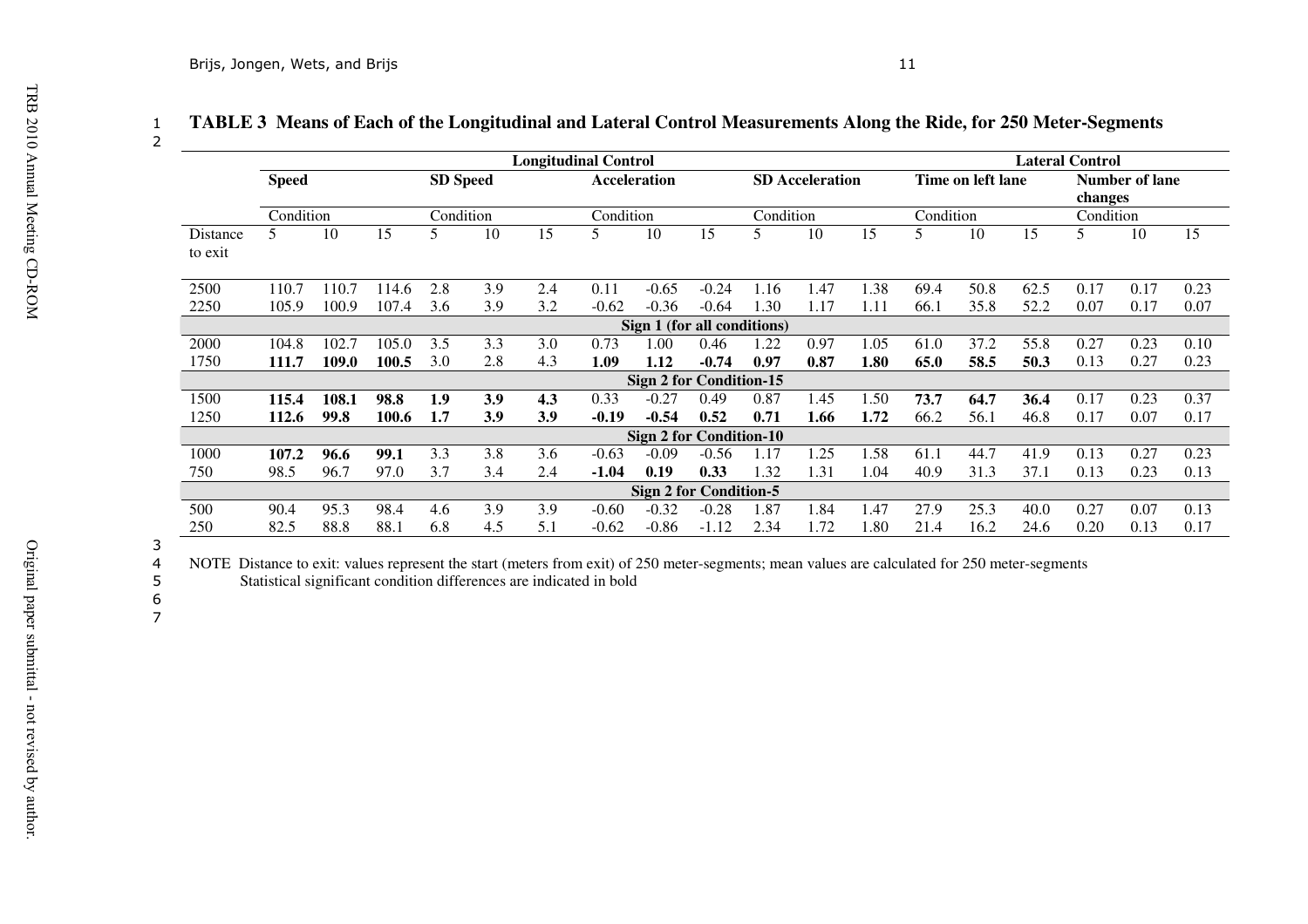|  | TABLE 3 Means of Each of the Longitudinal and Lateral Control Measurements Along the Ride, for 250 Meter-Segments |  |
|--|-------------------------------------------------------------------------------------------------------------------|--|
|--|-------------------------------------------------------------------------------------------------------------------|--|

|                     |                             |       |       |                              |     |     | <b>Longitudinal Control</b> |                                |         |                                     |      |      | <b>Lateral Control</b>         |      |      |                                  |      |      |
|---------------------|-----------------------------|-------|-------|------------------------------|-----|-----|-----------------------------|--------------------------------|---------|-------------------------------------|------|------|--------------------------------|------|------|----------------------------------|------|------|
|                     | <b>Speed</b><br>Condition   |       |       | <b>SD</b> Speed<br>Condition |     |     | Acceleration<br>Condition   |                                |         | <b>SD</b> Acceleration<br>Condition |      |      | Time on left lane<br>Condition |      |      | <b>Number of lane</b><br>changes |      |      |
|                     |                             |       |       |                              |     |     |                             |                                |         |                                     |      |      |                                |      |      | Condition                        |      |      |
| Distance<br>to exit | 5                           | 10    | 15    | 5.                           | 10  | 15  | 5.                          | 10                             | 15      | 5                                   | 10   | 15   | 5.                             | 10   | 15   | 5                                | 10   | 15   |
| 2500                | 110.7                       | 110.7 | 14.6  | 2.8                          | 3.9 | 2.4 | 0.11                        | $-0.65$                        | $-0.24$ | 1.16                                | 1.47 | .38  | 69.4                           | 50.8 | 62.5 | 0.17                             | 0.17 | 0.23 |
| 2250                | 105.9                       | 100.9 | 107.4 | 3.6                          | 3.9 | 3.2 | $-0.62$                     | $-0.36$                        | $-0.64$ | l.30                                | 1.17 | 1.11 | 66.1                           | 35.8 | 52.2 | 0.07                             | 0.17 | 0.07 |
|                     | Sign 1 (for all conditions) |       |       |                              |     |     |                             |                                |         |                                     |      |      |                                |      |      |                                  |      |      |
| 2000                | 104.8                       | 102.7 | 105.0 | 3.5                          | 3.3 | 3.0 | 0.73                        | 1.00                           | 0.46    | 1.22                                | 0.97 | 1.05 | 61.0                           | 37.2 | 55.8 | 0.27                             | 0.23 | 0.10 |
| 1750                | 111.7                       | 109.0 | 100.5 | 3.0                          | 2.8 | 4.3 | 1.09                        | 1.12                           | $-0.74$ | 0.97                                | 0.87 | 1.80 | 65.0                           | 58.5 | 50.3 | 0.13                             | 0.27 | 0.23 |
|                     |                             |       |       |                              |     |     |                             | <b>Sign 2 for Condition-15</b> |         |                                     |      |      |                                |      |      |                                  |      |      |
| 1500                | 115.4                       | 108.1 | 98.8  | 1.9                          | 3.9 | 4.3 | 0.33                        | $-0.27$                        | 0.49    | 0.87                                | 1.45 | 1.50 | 73.7                           | 64.7 | 36.4 | 0.17                             | 0.23 | 0.37 |
| 1250                | 112.6                       | 99.8  | 100.6 | 1.7                          | 3.9 | 3.9 | $-0.19$                     | $-0.54$                        | 0.52    | 0.71                                | 1.66 | 1.72 | 66.2                           | 56.1 | 46.8 | 0.17                             | 0.07 | 0.17 |
|                     |                             |       |       |                              |     |     |                             | Sign 2 for Condition-10        |         |                                     |      |      |                                |      |      |                                  |      |      |
| 1000                | 107.2                       | 96.6  | 99.1  | 3.3                          | 3.8 | 3.6 | $-0.63$                     | $-0.09$                        | $-0.56$ | 1.17                                | 1.25 | 1.58 | 61.1                           | 44.7 | 41.9 | 0.13                             | 0.27 | 0.23 |
| 750                 | 98.5                        | 96.7  | 97.0  | 3.7                          | 3.4 | 2.4 | $-1.04$                     | 0.19                           | 0.33    | 1.32                                | 1.31 | 1.04 | 40.9                           | 31.3 | 37.1 | 0.13                             | 0.23 | 0.13 |
|                     |                             |       |       |                              |     |     |                             | Sign 2 for Condition-5         |         |                                     |      |      |                                |      |      |                                  |      |      |
| 500                 | 90.4                        | 95.3  | 98.4  | 4.6                          | 3.9 | 3.9 | $-0.60$                     | $-0.32$                        | $-0.28$ | 1.87                                | 1.84 | 1.47 | 27.9                           | 25.3 | 40.0 | 0.27                             | 0.07 | 0.13 |
| 250                 | 82.5                        | 88.8  | 88.1  | 6.8                          | 4.5 | 5.1 | $-0.62$                     | $-0.86$                        | $-1.12$ | 2.34                                | 1.72 | 1.80 | 21.4                           | 16.2 | 24.6 | 0.20                             | 0.13 | 0.17 |

3  $\overline{4}$ 

4 NOTE Distance to exit: values represent the start (meters from exit) of 250 meter-segments; mean values are calculated for 250 meter-segments 5 Statistical significant condition differences are indicated in bold 6

7

TRB 2010 Annual Meeting CD-ROM

TRB 2010 Annual Meeting CD-ROM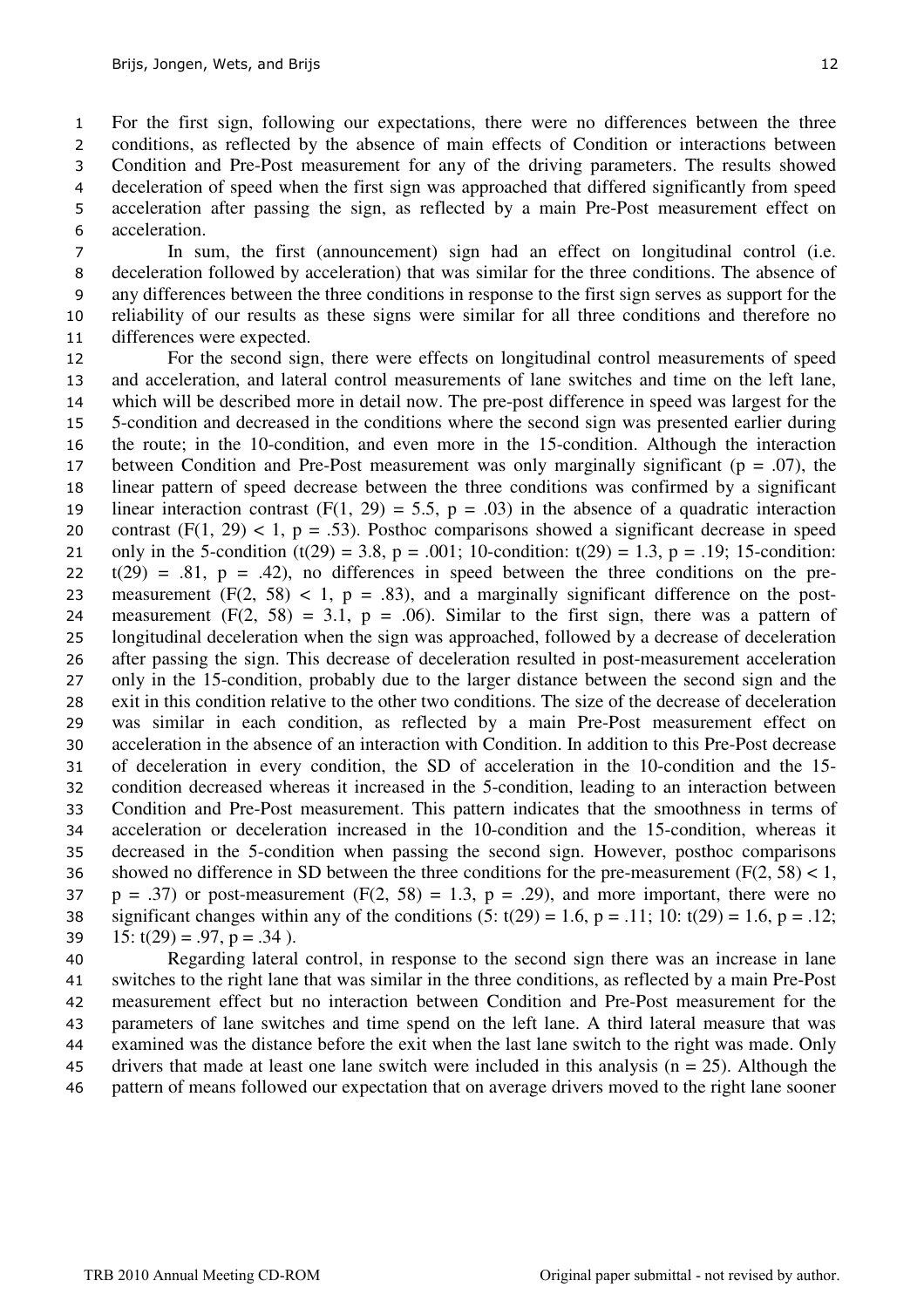For the first sign, following our expectations, there were no differences between the three conditions, as reflected by the absence of main effects of Condition or interactions between Condition and Pre-Post measurement for any of the driving parameters. The results showed deceleration of speed when the first sign was approached that differed significantly from speed acceleration after passing the sign, as reflected by a main Pre-Post measurement effect on acceleration.

In sum, the first (announcement) sign had an effect on longitudinal control (i.e. deceleration followed by acceleration) that was similar for the three conditions. The absence of any differences between the three conditions in response to the first sign serves as support for the reliability of our results as these signs were similar for all three conditions and therefore no differences were expected.

For the second sign, there were effects on longitudinal control measurements of speed and acceleration, and lateral control measurements of lane switches and time on the left lane, which will be described more in detail now. The pre-post difference in speed was largest for the 5-condition and decreased in the conditions where the second sign was presented earlier during the route; in the 10-condition, and even more in the 15-condition. Although the interaction 17 between Condition and Pre-Post measurement was only marginally significant ( $p = .07$ ), the linear pattern of speed decrease between the three conditions was confirmed by a significant 19 linear interaction contrast  $(F(1, 29) = 5.5, p = .03)$  in the absence of a quadratic interaction 20 contrast  $(F(1, 29) < 1, p = .53)$ . Posthoc comparisons showed a significant decrease in speed 21 only in the 5-condition  $(t(29) = 3.8, p = .001; 10$ -condition:  $t(29) = 1.3, p = .19; 15$ -condition:  $22 \text{ t}(29) = .81$ ,  $p = .42$ ), no differences in speed between the three conditions on the pre-23 measurement  $(F(2, 58) < 1, p = .83)$ , and a marginally significant difference on the post-24 measurement  $(F(2, 58) = 3.1, p = .06)$ . Similar to the first sign, there was a pattern of longitudinal deceleration when the sign was approached, followed by a decrease of deceleration after passing the sign. This decrease of deceleration resulted in post-measurement acceleration only in the 15-condition, probably due to the larger distance between the second sign and the exit in this condition relative to the other two conditions. The size of the decrease of deceleration was similar in each condition, as reflected by a main Pre-Post measurement effect on acceleration in the absence of an interaction with Condition. In addition to this Pre-Post decrease of deceleration in every condition, the SD of acceleration in the 10-condition and the 15- condition decreased whereas it increased in the 5-condition, leading to an interaction between Condition and Pre-Post measurement. This pattern indicates that the smoothness in terms of acceleration or deceleration increased in the 10-condition and the 15-condition, whereas it decreased in the 5-condition when passing the second sign. However, posthoc comparisons 36 showed no difference in SD between the three conditions for the pre-measurement  $(F(2, 58) < 1,$  p = .37) or post-measurement (F(2, 58) = 1.3, p = .29), and more important, there were no 38 significant changes within any of the conditions  $(5: t(29) = 1.6, p = .11; 10: t(29) = 1.6, p = .12;$ 39 15:  $t(29) = .97$ ,  $p = .34$ ).

Regarding lateral control, in response to the second sign there was an increase in lane switches to the right lane that was similar in the three conditions, as reflected by a main Pre-Post measurement effect but no interaction between Condition and Pre-Post measurement for the parameters of lane switches and time spend on the left lane. A third lateral measure that was examined was the distance before the exit when the last lane switch to the right was made. Only 45 drivers that made at least one lane switch were included in this analysis ( $n = 25$ ). Although the pattern of means followed our expectation that on average drivers moved to the right lane sooner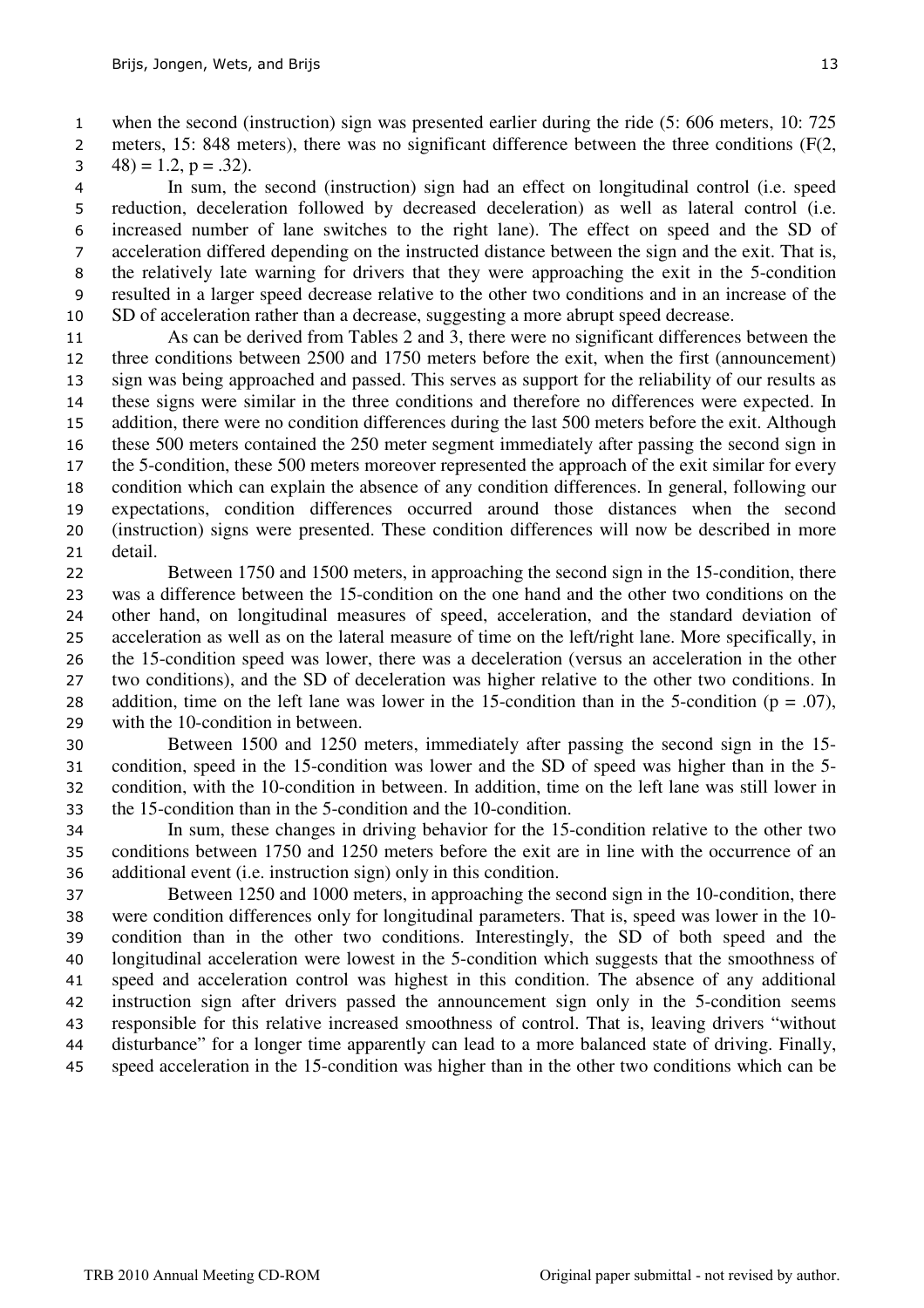when the second (instruction) sign was presented earlier during the ride (5: 606 meters, 10: 725 meters, 15: 848 meters), there was no significant difference between the three conditions (F(2,  $3 \quad 48 = 1.2, p = .32$ .

In sum, the second (instruction) sign had an effect on longitudinal control (i.e. speed reduction, deceleration followed by decreased deceleration) as well as lateral control (i.e. increased number of lane switches to the right lane). The effect on speed and the SD of acceleration differed depending on the instructed distance between the sign and the exit. That is, the relatively late warning for drivers that they were approaching the exit in the 5-condition resulted in a larger speed decrease relative to the other two conditions and in an increase of the SD of acceleration rather than a decrease, suggesting a more abrupt speed decrease.

As can be derived from Tables 2 and 3, there were no significant differences between the three conditions between 2500 and 1750 meters before the exit, when the first (announcement) sign was being approached and passed. This serves as support for the reliability of our results as these signs were similar in the three conditions and therefore no differences were expected. In addition, there were no condition differences during the last 500 meters before the exit. Although these 500 meters contained the 250 meter segment immediately after passing the second sign in the 5-condition, these 500 meters moreover represented the approach of the exit similar for every condition which can explain the absence of any condition differences. In general, following our expectations, condition differences occurred around those distances when the second (instruction) signs were presented. These condition differences will now be described in more detail.

Between 1750 and 1500 meters, in approaching the second sign in the 15-condition, there was a difference between the 15-condition on the one hand and the other two conditions on the other hand, on longitudinal measures of speed, acceleration, and the standard deviation of acceleration as well as on the lateral measure of time on the left/right lane. More specifically, in the 15-condition speed was lower, there was a deceleration (versus an acceleration in the other two conditions), and the SD of deceleration was higher relative to the other two conditions. In 28 addition, time on the left lane was lower in the 15-condition than in the 5-condition ( $p = .07$ ), with the 10-condition in between.

Between 1500 and 1250 meters, immediately after passing the second sign in the 15- condition, speed in the 15-condition was lower and the SD of speed was higher than in the 5- condition, with the 10-condition in between. In addition, time on the left lane was still lower in the 15-condition than in the 5-condition and the 10-condition.

In sum, these changes in driving behavior for the 15-condition relative to the other two conditions between 1750 and 1250 meters before the exit are in line with the occurrence of an additional event (i.e. instruction sign) only in this condition.

Between 1250 and 1000 meters, in approaching the second sign in the 10-condition, there were condition differences only for longitudinal parameters. That is, speed was lower in the 10- condition than in the other two conditions. Interestingly, the SD of both speed and the longitudinal acceleration were lowest in the 5-condition which suggests that the smoothness of speed and acceleration control was highest in this condition. The absence of any additional instruction sign after drivers passed the announcement sign only in the 5-condition seems responsible for this relative increased smoothness of control. That is, leaving drivers "without disturbance" for a longer time apparently can lead to a more balanced state of driving. Finally, speed acceleration in the 15-condition was higher than in the other two conditions which can be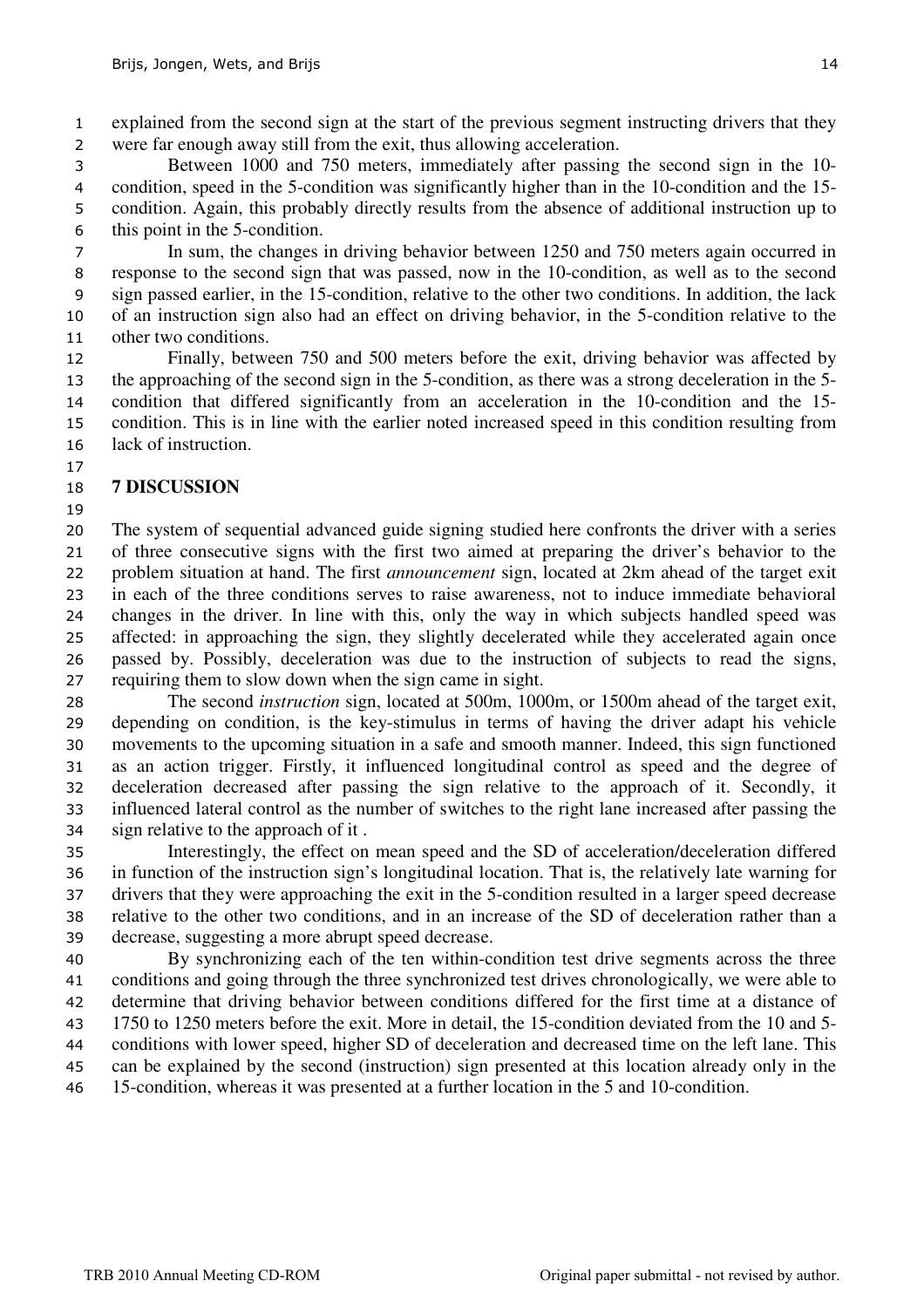explained from the second sign at the start of the previous segment instructing drivers that they were far enough away still from the exit, thus allowing acceleration.

Between 1000 and 750 meters, immediately after passing the second sign in the 10- condition, speed in the 5-condition was significantly higher than in the 10-condition and the 15- condition. Again, this probably directly results from the absence of additional instruction up to this point in the 5-condition.

In sum, the changes in driving behavior between 1250 and 750 meters again occurred in response to the second sign that was passed, now in the 10-condition, as well as to the second sign passed earlier, in the 15-condition, relative to the other two conditions. In addition, the lack of an instruction sign also had an effect on driving behavior, in the 5-condition relative to the other two conditions.

Finally, between 750 and 500 meters before the exit, driving behavior was affected by the approaching of the second sign in the 5-condition, as there was a strong deceleration in the 5- condition that differed significantly from an acceleration in the 10-condition and the 15- condition. This is in line with the earlier noted increased speed in this condition resulting from lack of instruction.

## **7 DISCUSSION**

The system of sequential advanced guide signing studied here confronts the driver with a series of three consecutive signs with the first two aimed at preparing the driver's behavior to the problem situation at hand. The first *announcement* sign, located at 2km ahead of the target exit in each of the three conditions serves to raise awareness, not to induce immediate behavioral changes in the driver. In line with this, only the way in which subjects handled speed was affected: in approaching the sign, they slightly decelerated while they accelerated again once passed by. Possibly, deceleration was due to the instruction of subjects to read the signs, requiring them to slow down when the sign came in sight.

The second *instruction* sign, located at 500m, 1000m, or 1500m ahead of the target exit, depending on condition, is the key-stimulus in terms of having the driver adapt his vehicle movements to the upcoming situation in a safe and smooth manner. Indeed, this sign functioned as an action trigger. Firstly, it influenced longitudinal control as speed and the degree of deceleration decreased after passing the sign relative to the approach of it. Secondly, it influenced lateral control as the number of switches to the right lane increased after passing the sign relative to the approach of it .

Interestingly, the effect on mean speed and the SD of acceleration/deceleration differed in function of the instruction sign's longitudinal location. That is, the relatively late warning for drivers that they were approaching the exit in the 5-condition resulted in a larger speed decrease relative to the other two conditions, and in an increase of the SD of deceleration rather than a decrease, suggesting a more abrupt speed decrease.

By synchronizing each of the ten within-condition test drive segments across the three conditions and going through the three synchronized test drives chronologically, we were able to determine that driving behavior between conditions differed for the first time at a distance of 1750 to 1250 meters before the exit. More in detail, the 15-condition deviated from the 10 and 5- conditions with lower speed, higher SD of deceleration and decreased time on the left lane. This can be explained by the second (instruction) sign presented at this location already only in the 15-condition, whereas it was presented at a further location in the 5 and 10-condition.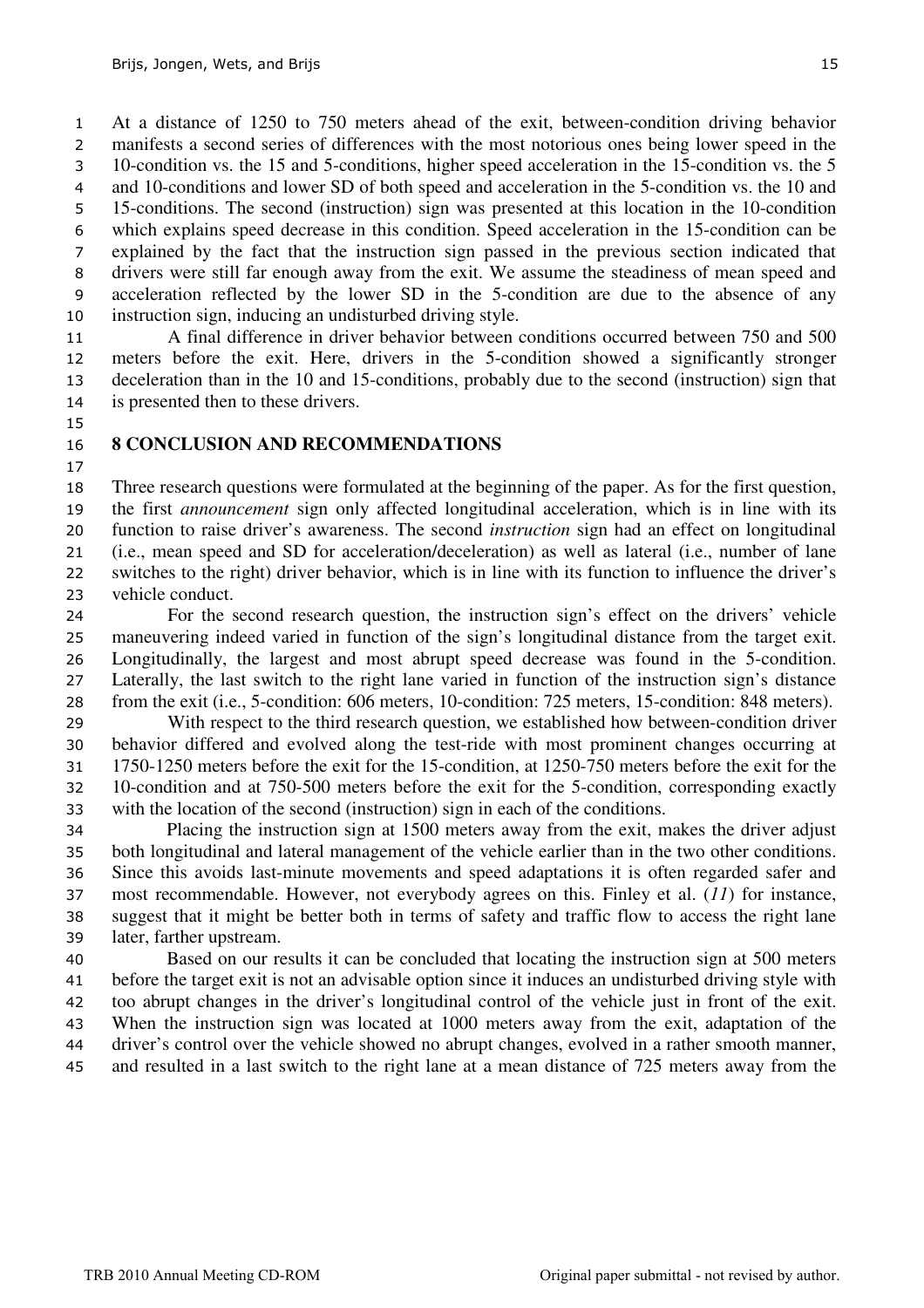At a distance of 1250 to 750 meters ahead of the exit, between-condition driving behavior manifests a second series of differences with the most notorious ones being lower speed in the 10-condition vs. the 15 and 5-conditions, higher speed acceleration in the 15-condition vs. the 5 and 10-conditions and lower SD of both speed and acceleration in the 5-condition vs. the 10 and 15-conditions. The second (instruction) sign was presented at this location in the 10-condition which explains speed decrease in this condition. Speed acceleration in the 15-condition can be explained by the fact that the instruction sign passed in the previous section indicated that drivers were still far enough away from the exit. We assume the steadiness of mean speed and acceleration reflected by the lower SD in the 5-condition are due to the absence of any instruction sign, inducing an undisturbed driving style.

A final difference in driver behavior between conditions occurred between 750 and 500 meters before the exit. Here, drivers in the 5-condition showed a significantly stronger deceleration than in the 10 and 15-conditions, probably due to the second (instruction) sign that is presented then to these drivers.

# **8 CONCLUSION AND RECOMMENDATIONS**

Three research questions were formulated at the beginning of the paper. As for the first question, the first *announcement* sign only affected longitudinal acceleration, which is in line with its function to raise driver's awareness. The second *instruction* sign had an effect on longitudinal (i.e., mean speed and SD for acceleration/deceleration) as well as lateral (i.e., number of lane switches to the right) driver behavior, which is in line with its function to influence the driver's vehicle conduct.

For the second research question, the instruction sign's effect on the drivers' vehicle maneuvering indeed varied in function of the sign's longitudinal distance from the target exit. Longitudinally, the largest and most abrupt speed decrease was found in the 5-condition. Laterally, the last switch to the right lane varied in function of the instruction sign's distance from the exit (i.e., 5-condition: 606 meters, 10-condition: 725 meters, 15-condition: 848 meters).

With respect to the third research question, we established how between-condition driver behavior differed and evolved along the test-ride with most prominent changes occurring at 1750-1250 meters before the exit for the 15-condition, at 1250-750 meters before the exit for the 10-condition and at 750-500 meters before the exit for the 5-condition, corresponding exactly with the location of the second (instruction) sign in each of the conditions.

Placing the instruction sign at 1500 meters away from the exit, makes the driver adjust both longitudinal and lateral management of the vehicle earlier than in the two other conditions. Since this avoids last-minute movements and speed adaptations it is often regarded safer and most recommendable. However, not everybody agrees on this. Finley et al. (*11*) for instance, suggest that it might be better both in terms of safety and traffic flow to access the right lane later, farther upstream.

Based on our results it can be concluded that locating the instruction sign at 500 meters before the target exit is not an advisable option since it induces an undisturbed driving style with too abrupt changes in the driver's longitudinal control of the vehicle just in front of the exit. When the instruction sign was located at 1000 meters away from the exit, adaptation of the driver's control over the vehicle showed no abrupt changes, evolved in a rather smooth manner, and resulted in a last switch to the right lane at a mean distance of 725 meters away from the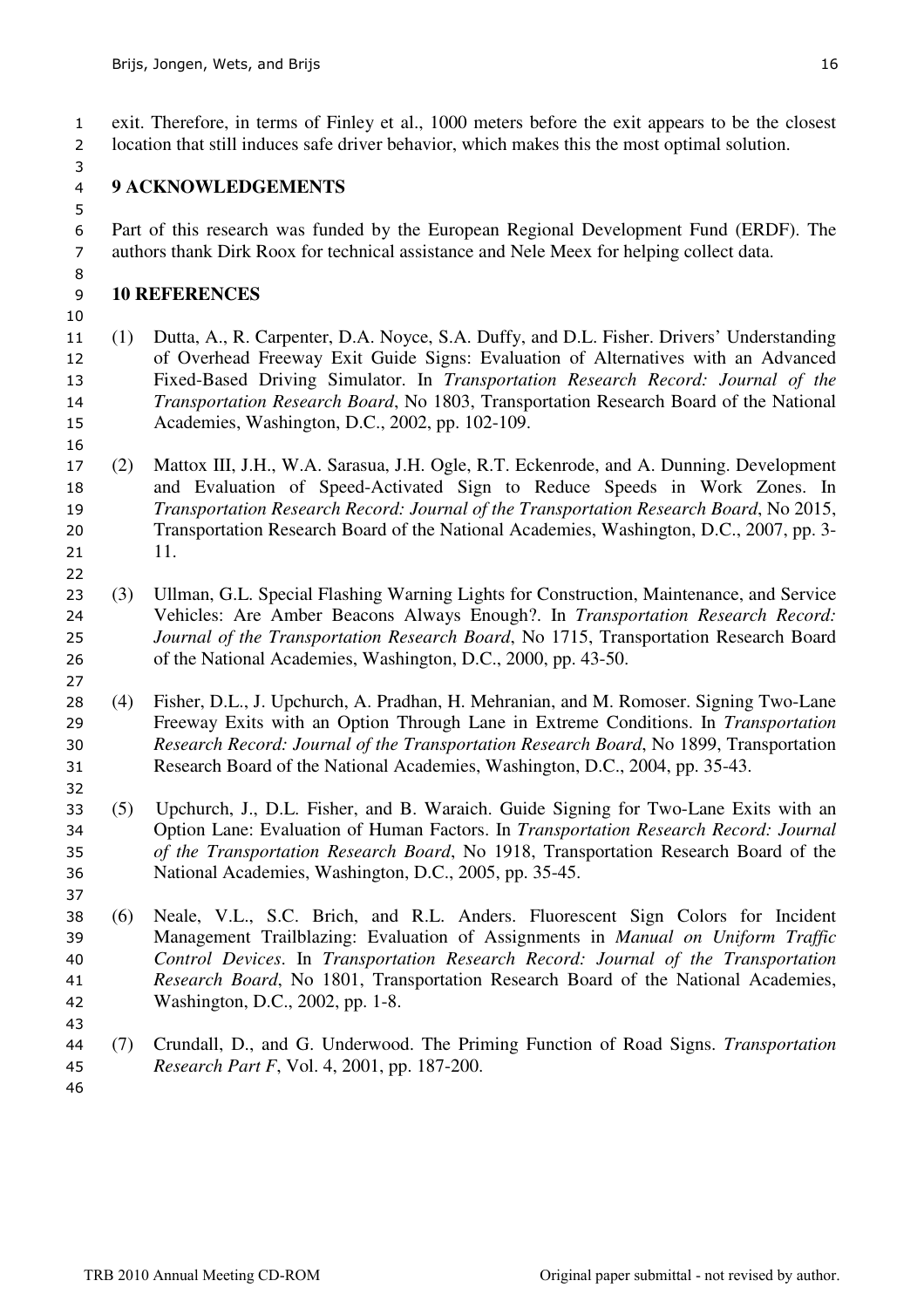exit. Therefore, in terms of Finley et al., 1000 meters before the exit appears to be the closest location that still induces safe driver behavior, which makes this the most optimal solution.

**9 ACKNOWLEDGEMENTS** 

Part of this research was funded by the European Regional Development Fund (ERDF). The authors thank Dirk Roox for technical assistance and Nele Meex for helping collect data.

### **10 REFERENCES**

- (1) Dutta, A., R. Carpenter, D.A. Noyce, S.A. Duffy, and D.L. Fisher. Drivers' Understanding of Overhead Freeway Exit Guide Signs: Evaluation of Alternatives with an Advanced Fixed-Based Driving Simulator. In *Transportation Research Record: Journal of the Transportation Research Board*, No 1803, Transportation Research Board of the National Academies, Washington, D.C., 2002, pp. 102-109.
- (2) Mattox III, J.H., W.A. Sarasua, J.H. Ogle, R.T. Eckenrode, and A. Dunning. Development and Evaluation of Speed-Activated Sign to Reduce Speeds in Work Zones. In *Transportation Research Record: Journal of the Transportation Research Board*, No 2015, Transportation Research Board of the National Academies, Washington, D.C., 2007, pp. 3- 21 11.
- (3) Ullman, G.L. Special Flashing Warning Lights for Construction, Maintenance, and Service Vehicles: Are Amber Beacons Always Enough?. In *Transportation Research Record: Journal of the Transportation Research Board*, No 1715, Transportation Research Board of the National Academies, Washington, D.C., 2000, pp. 43-50.
- (4) Fisher, D.L., J. Upchurch, A. Pradhan, H. Mehranian, and M. Romoser. Signing Two-Lane Freeway Exits with an Option Through Lane in Extreme Conditions. In *Transportation Research Record: Journal of the Transportation Research Board*, No 1899, Transportation Research Board of the National Academies, Washington, D.C., 2004, pp. 35-43.
- (5) Upchurch, J., D.L. Fisher, and B. Waraich. Guide Signing for Two-Lane Exits with an Option Lane: Evaluation of Human Factors. In *Transportation Research Record: Journal of the Transportation Research Board*, No 1918, Transportation Research Board of the National Academies, Washington, D.C., 2005, pp. 35-45.
- (6) Neale, V.L., S.C. Brich, and R.L. Anders. Fluorescent Sign Colors for Incident Management Trailblazing: Evaluation of Assignments in *Manual on Uniform Traffic Control Devices*. In *Transportation Research Record: Journal of the Transportation Research Board*, No 1801, Transportation Research Board of the National Academies, Washington, D.C., 2002, pp. 1-8.
- 
- (7) Crundall, D., and G. Underwood. The Priming Function of Road Signs. *Transportation Research Part F*, Vol. 4, 2001, pp. 187-200.
-